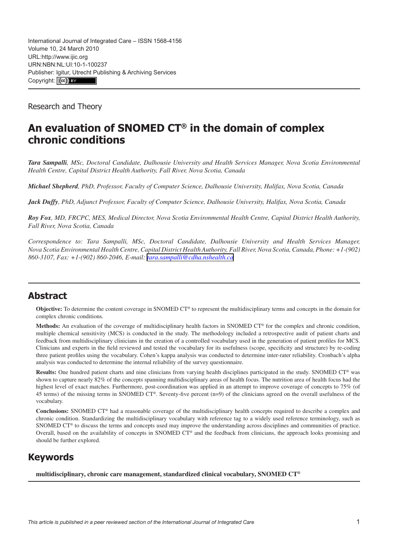International Journal of Integrated Care – ISSN 1568-4156 Volume 10, 24 March 2010 URL[:http://www.ijic.org](http://www.ijic.org) URN:NBN:NL:UI:10-1-100237 Publisher: [Igitur, Utrecht Pu](http://creativecommons.org/licenses/by/3.0/)blishing & Archiving Services Copyright: (cc) BY

Research and Theory

# **An evaluation of SNOMED CT® in the domain of complex chronic conditions**

*Tara Sampalli, MSc, Doctoral Candidate, Dalhousie University and Health Services Manager, Nova Scotia Environmental Health Centre, Capital District Health Authority, Fall River, Nova Scotia, Canada*

*Michael Shepherd, PhD, Professor, Faculty of Computer Science, Dalhousie University, Halifax, Nova Scotia, Canada*

*Jack Duffy, PhD, Adjunct Professor, Faculty of Computer Science, Dalhousie University, Halifax, Nova Scotia, Canada*

*Roy Fox, MD, FRCPC, MES, Medical Director, Nova Scotia Environmental Health Centre, Capital District Health Authority, Fall River, Nova Scotia, Canada*

*Correspondence to: Tara Sampalli, MSc, Doctoral Candidate, Dalhousie University and Health Services Manager, Nova Scotia Environmental Health Centre, Capital District Health Authority, Fall River, Nova Scotia, Canada, Phone: +1-(902) 860-3107, Fax: +1-(902) 860-2046, E-mail: [tara.sampalli@cdha.nshealth.ca](mailto:tara.sampalli@cdha.nshealth.ca)*

## **Abstract**

**Objective:** To determine the content coverage in SNOMED CT® to represent the multidisciplinary terms and concepts in the domain for complex chronic conditions.

**Methods:** An evaluation of the coverage of multidisciplinary health factors in SNOMED CT® for the complex and chronic condition, multiple chemical sensitivity (MCS) is conducted in the study. The methodology included a retrospective audit of patient charts and feedback from multidisciplinary clinicians in the creation of a controlled vocabulary used in the generation of patient profiles for MCS. Clinicians and experts in the field reviewed and tested the vocabulary for its usefulness (scope, specificity and structure) by re-coding three patient profiles using the vocabulary. Cohen's kappa analysis was conducted to determine inter-rater reliability. Cronbach's alpha analysis was conducted to determine the internal reliability of the survey questionnaire.

**Results:** One hundred patient charts and nine clinicians from varying health disciplines participated in the study. SNOMED CT® was shown to capture nearly 82% of the concepts spanning multidisciplinary areas of health focus. The nutrition area of health focus had the highest level of exact matches. Furthermore, post-coordination was applied in an attempt to improve coverage of concepts to 75% (of 45 terms) of the missing terms in SNOMED CT®. Seventy-five percent (n=9) of the clinicians agreed on the overall usefulness of the vocabulary.

**Conclusions:** SNOMED CT® had a reasonable coverage of the multidisciplinary health concepts required to describe a complex and chronic condition. Standardizing the multidisciplinary vocabulary with reference tag to a widely used reference terminology, such as SNOMED CT<sup>®</sup> to discuss the terms and concepts used may improve the understanding across disciplines and communities of practice. Overall, based on the availability of concepts in SNOMED CT® and the feedback from clinicians, the approach looks promising and should be further explored.

## **Keywords**

**multidisciplinary, chronic care management, standardized clinical vocabulary, SNOMED CT®**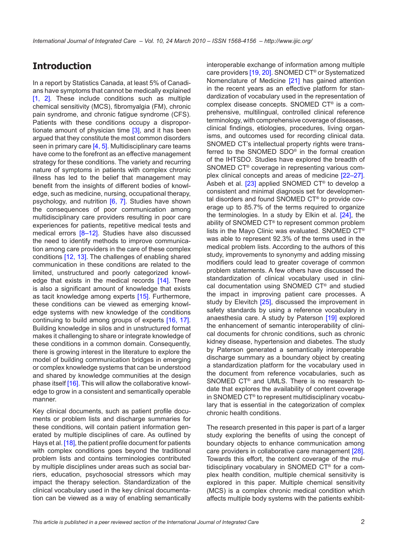# **Introduction**

In a report by Statistics Canada, at least 5% of Canadians have symptoms that cannot be medically explained [\[1,](#page-8-0) [2\]](#page-8-0). These include conditions such as multiple chemical sensitivity (MCS), fibromyalgia (FM), chronic pain syndrome, and chronic fatigue syndrome (CFS). Patients with these conditions occupy a dispropor-tionate amount of physician time [\[3\]](#page-8-0), and it has been argued that they constitute the most common disorders seen in primary care [[4](#page-8-0), [5\]](#page-8-0). Multidisciplinary care teams have come to the forefront as an effective management strategy for these conditions. The variety and recurring nature of symptoms in patients with complex chronic illness has led to the belief that management may benefit from the insights of different bodies of knowledge, such as medicine, nursing, occupational therapy, psychology, and nutrition [\[6,](#page-8-0) [7](#page-8-0)]. Studies have shown the consequences of poor communication among multidisciplinary care providers resulting in poor care experiences for patients, repetitive medical tests and medical errors [\[8–12](#page-8-0)]. Studies have also discussed the need to identify methods to improve communication among care providers in the care of these complex conditions [\[12](#page-8-0), [13](#page-8-0)]. The challenges of enabling shared communication in these conditions are related to the limited, unstructured and poorly categorized knowl-edge that exists in the medical records [\[14\]](#page-8-0). There is also a significant amount of knowledge that exists as tacit knowledge among experts [[15](#page-8-0)]. Furthermore, these conditions can be viewed as emerging knowledge systems with new knowledge of the conditions continuing to build among groups of experts [[16](#page-8-0), [17\]](#page-8-0). Building knowledge in silos and in unstructured format makes it challenging to share or integrate knowledge of these conditions in a common domain. Consequently, there is growing interest in the literature to explore the model of building communication bridges in emerging or complex knowledge systems that can be understood and shared by knowledge communities at the design phase itself [[16\]](#page-8-0). This will allow the collaborative knowledge to grow in a consistent and semantically operable manner.

Key clinical documents, such as patient profile documents or problem lists and discharge summaries for these conditions, will contain patient information generated by multiple disciplines of care. As outlined by Hays et al. [[18\]](#page-8-0), the patient profile document for patients with complex conditions goes beyond the traditional problem lists and contains terminologies contributed by multiple disciplines under areas such as social barriers, education, psychosocial stressors which may impact the therapy selection. Standardization of the clinical vocabulary used in the key clinical documentation can be viewed as a way of enabling semantically interoperable exchange of information among multiple care providers [[19](#page-8-0), [20](#page-8-0)]. SNOMED CT® or Systematized Nomenclature of Medicine [\[21\]](#page-8-0) has gained attention in the recent years as an effective platform for standardization of vocabulary used in the representation of complex disease concepts. SNOMED CT® is a comprehensive, multilingual, controlled clinical reference terminology, with comprehensive coverage of diseases, clinical findings, etiologies, procedures, living organisms, and outcomes used for recording clinical data. SNOMED CT's intellectual property rights were transferred to the SNOMED SDO® in the formal creation of the IHTSDO. Studies have explored the breadth of SNOMED CT® coverage in representing various complex clinical concepts and areas of medicine [\[22–27](#page-8-0)]. Asbeh et al.  $[23]$  $[23]$  applied SNOMED CT® to develop a consistent and minimal diagnosis set for developmental disorders and found SNOMED CT® to provide coverage up to 85.7% of the terms required to organize the terminologies. In a study by Elkin et al. [\[24](#page-8-0)], the ability of SNOMED CT® to represent common problem lists in the Mayo Clinic was evaluated. SNOMED CT® was able to represent 92.3% of the terms used in the medical problem lists. According to the authors of this study, improvements to synonymy and adding missing modifiers could lead to greater coverage of common problem statements. A few others have discussed the standardization of clinical vocabulary used in clinical documentation using SNOMED CT® and studied the impact in improving patient care processes. A study by Elevitch [[25](#page-8-0)], discussed the improvement in safety standards by using a reference vocabulary in anaesthesia care. A study by Paterson [\[19\]](#page-8-0) explored the enhancement of semantic interoperability of clinical documents for chronic conditions, such as chronic kidney disease, hypertension and diabetes. The study by Paterson generated a semantically interoperable discharge summary as a boundary object by creating a standardization platform for the vocabulary used in the document from reference vocabularies, such as SNOMED CT® and UMLS. There is no research todate that explores the availability of content coverage in SNOMED CT® to represent multidisciplinary vocabulary that is essential in the categorization of complex chronic health conditions.

The research presented in this paper is part of a larger study exploring the benefits of using the concept of boundary objects to enhance communication among care providers in collaborative care management [\[28](#page-9-0)]. Towards this effort, the content coverage of the multidisciplinary vocabulary in SNOMED CT® for a complex health condition, multiple chemical sensitivity is explored in this paper. Multiple chemical sensitivity (MCS) is a complex chronic medical condition which affects multiple body systems with the patients exhibit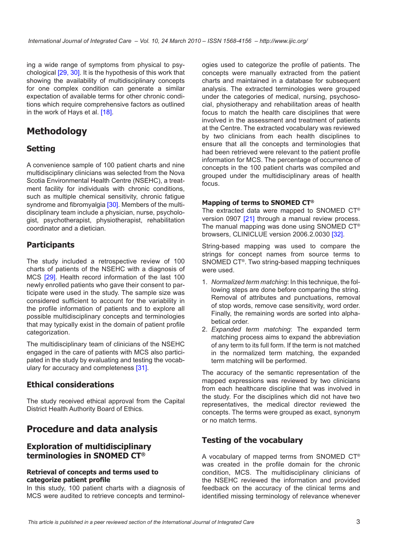ing a wide range of symptoms from physical to psychological [\[29](#page-9-0), [30\]](#page-9-0). It is the hypothesis of this work that showing the availability of multidisciplinary concepts for one complex condition can generate a similar expectation of available terms for other chronic conditions which require comprehensive factors as outlined in the work of Hays et al. [\[18\]](#page-8-0).

# **Methodology**

### **Setting**

A convenience sample of 100 patient charts and nine multidisciplinary clinicians was selected from the Nova Scotia Environmental Health Centre (NSEHC), a treatment facility for individuals with chronic conditions, such as multiple chemical sensitivity, chronic fatigue syndrome and fibromyalgia [\[30](#page-9-0)]. Members of the multidisciplinary team include a physician, nurse, psychologist, psychotherapist, physiotherapist, rehabilitation coordinator and a dietician.

## **Participants**

The study included a retrospective review of 100 charts of patients of the NSEHC with a diagnosis of MCS [[29](#page-9-0)]. Health record information of the last 100 newly enrolled patients who gave their consent to participate were used in the study. The sample size was considered sufficient to account for the variability in the profile information of patients and to explore all possible multidisciplinary concepts and terminologies that may typically exist in the domain of patient profile categorization.

The multidisciplinary team of clinicians of the NSEHC engaged in the care of patients with MCS also participated in the study by evaluating and testing the vocabulary for accuracy and completeness [[31\]](#page-9-0).

#### **Ethical considerations**

The study received ethical approval from the Capital District Health Authority Board of Ethics.

# **Procedure and data analysis**

#### **Exploration of multidisciplinary terminologies in SNOMED CT®**

#### **Retrieval of concepts and terms used to categorize patient profile**

In this study, 100 patient charts with a diagnosis of MCS were audited to retrieve concepts and terminologies used to categorize the profile of patients. The concepts were manually extracted from the patient charts and maintained in a database for subsequent analysis. The extracted terminologies were grouped under the categories of medical, nursing, psychosocial, physiotherapy and rehabilitation areas of health focus to match the health care disciplines that were involved in the assessment and treatment of patients at the Centre. The extracted vocabulary was reviewed by two clinicians from each health disciplines to ensure that all the concepts and terminologies that had been retrieved were relevant to the patient profile information for MCS. The percentage of occurrence of concepts in the 100 patient charts was compiled and grouped under the multidisciplinary areas of health focus.

#### **Mapping of terms to SNOMED CT®**

The extracted data were mapped to SNOMED CT® version 0907 [[21](#page-8-0)] through a manual review process. The manual mapping was done using SNOMED CT® browsers, CLINICLUE version 2006.2.0030 [[32\]](#page-9-0).

String-based mapping was used to compare the strings for concept names from source terms to SNOMED CT®. Two string-based mapping techniques were used.

- 1. *Normalized term matching*: In this technique, the following steps are done before comparing the string. Removal of attributes and punctuations, removal of stop words, remove case sensitivity, word order. Finally, the remaining words are sorted into alphabetical order.
- 2. *Expanded term matching*: The expanded term matching process aims to expand the abbreviation of any term to its full form. If the term is not matched in the normalized term matching, the expanded term matching will be performed.

The accuracy of the semantic representation of the mapped expressions was reviewed by two clinicians from each healthcare discipline that was involved in the study. For the disciplines which did not have two representatives, the medical director reviewed the concepts. The terms were grouped as exact, synonym or no match terms.

#### **Testing of the vocabulary**

A vocabulary of mapped terms from SNOMED CT® was created in the profile domain for the chronic condition, MCS. The multidisciplinary clinicians of the NSEHC reviewed the information and provided feedback on the accuracy of the clinical terms and identified missing terminology of relevance whenever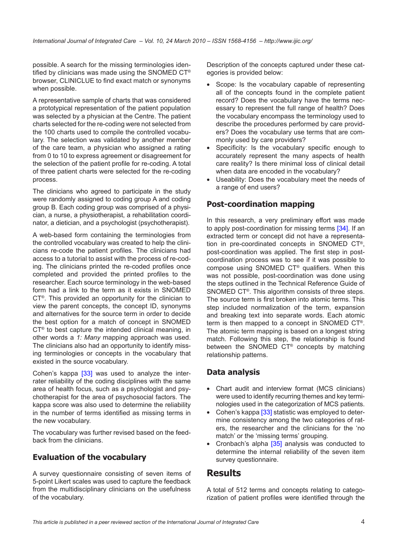possible. A search for the missing terminologies identified by clinicians was made using the SNOMED CT® browser, CLINICLUE to find exact match or synonyms when possible.

A representative sample of charts that was considered a prototypical representation of the patient population was selected by a physician at the Centre. The patient charts selected for the re-coding were not selected from the 100 charts used to compile the controlled vocabulary. The selection was validated by another member of the care team, a physician who assigned a rating from 0 to 10 to express agreement or disagreement for the selection of the patient profile for re-coding. A total of three patient charts were selected for the re-coding process.

The clinicians who agreed to participate in the study were randomly assigned to coding group A and coding group B. Each coding group was comprised of a physician, a nurse, a physiotherapist, a rehabilitation coordinator, a dietician, and a psychologist (psychotherapist).

A web-based form containing the terminologies from the controlled vocabulary was created to help the clinicians re-code the patient profiles. The clinicians had access to a tutorial to assist with the process of re-coding. The clinicians printed the re-coded profiles once completed and provided the printed profiles to the researcher. Each source terminology in the web-based form had a link to the term as it exists in SNOMED CT®. This provided an opportunity for the clinician to view the parent concepts, the concept ID, synonyms and alternatives for the source term in order to decide the best option for a match of concept in SNOMED CT® to best capture the intended clinical meaning, in other words a *1: Many* mapping approach was used. The clinicians also had an opportunity to identify missing terminologies or concepts in the vocabulary that existed in the source vocabulary.

Cohen's kappa [\[33](#page-9-0)] was used to analyze the interrater reliability of the coding disciplines with the same area of health focus, such as a psychologist and psychotherapist for the area of psychosocial factors. The kappa score was also used to determine the reliability in the number of terms identified as missing terms in the new vocabulary.

The vocabulary was further revised based on the feedback from the clinicians.

## **Evaluation of the vocabulary**

A survey questionnaire consisting of seven items of 5-point Likert scales was used to capture the feedback from the multidisciplinary clinicians on the usefulness of the vocabulary.

Description of the concepts captured under these categories is provided below:

- Scope: Is the vocabulary capable of representing all of the concepts found in the complete patient record? Does the vocabulary have the terms necessary to represent the full range of health? Does the vocabulary encompass the terminology used to describe the procedures performed by care providers? Does the vocabulary use terms that are commonly used by care providers?
- Specificity: Is the vocabulary specific enough to accurately represent the many aspects of health care reality? Is there minimal loss of clinical detail when data are encoded in the vocabulary?
- Useability: Does the vocabulary meet the needs of a range of end users?

### **Post-coordination mapping**

In this research, a very preliminary effort was made to apply post-coordination for missing terms [\[34\]](#page-9-0). If an extracted term or concept did not have a representation in pre-coordinated concepts in SNOMED CT®, post-coordination was applied. The first step in postcoordination process was to see if it was possible to compose using SNOMED CT® qualifiers. When this was not possible, post-coordination was done using the steps outlined in the Technical Reference Guide of SNOMED CT®. This algorithm consists of three steps. The source term is first broken into atomic terms. This step included normalization of the term, expansion and breaking text into separate words. Each atomic term is then mapped to a concept in SNOMED CT®. The atomic term mapping is based on a longest string match. Following this step, the relationship is found between the SNOMED CT® concepts by matching relationship patterns.

#### **Data analysis**

- Chart audit and interview format (MCS clinicians) were used to identify recurring themes and key terminologies used in the categorization of MCS patients.
- Cohen's kappa [\[33](#page-9-0)] statistic was employed to determine consistency among the two categories of raters, the researcher and the clinicians for the 'no match' or the 'missing terms' grouping.
- Cronbach's alpha [\[35\]](#page-9-0) analysis was conducted to determine the internal reliability of the seven item survey questionnaire.

## **Results**

A total of 512 terms and concepts relating to categorization of patient profiles were identified through the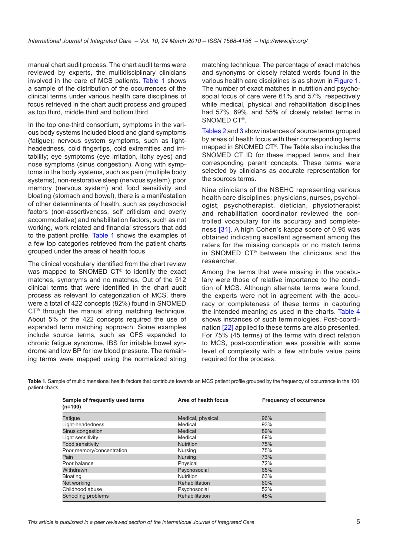manual chart audit process. The chart audit terms were reviewed by experts, the multidisciplinary clinicians involved in the care of MCS patients. Table 1 shows a sample of the distribution of the occurrences of the clinical terms under various health care disciplines of focus retrieved in the chart audit process and grouped as top third, middle third and bottom third.

In the top one-third consortium, symptoms in the various body systems included blood and gland symptoms (fatigue); nervous system symptoms, such as lightheadedness, cold fingertips, cold extremities and irritability; eye symptoms (eye irritation, itchy eyes) and nose symptoms (sinus congestion). Along with symptoms in the body systems, such as pain (multiple body systems), non-restorative sleep (nervous system), poor memory (nervous system) and food sensitivity and bloating (stomach and bowel), there is a manifestation of other determinants of health, such as psychosocial factors (non-assertiveness, self criticism and overly accommodative) and rehabilitation factors, such as not working, work related and financial stressors that add to the patient profile. Table 1 shows the examples of a few top categories retrieved from the patient charts grouped under the areas of health focus.

The clinical vocabulary identified from the chart review was mapped to SNOMED CT® to identify the exact matches, synonyms and no matches. Out of the 512 clinical terms that were identified in the chart audit process as relevant to categorization of MCS, there were a total of 422 concepts (82%) found in SNOMED CT<sup>®</sup> through the manual string matching technique. About 5% of the 422 concepts required the use of expanded term matching approach. Some examples include source terms, such as CFS expanded to chronic fatigue syndrome, IBS for irritable bowel syndrome and low BP for low blood pressure. The remaining terms were mapped using the normalized string

matching technique. The percentage of exact matches and synonyms or closely related words found in the various health care disciplines is as shown in [Figure](#page-5-0) 1. The number of exact matches in nutrition and psychosocial focus of care were 61% and 57%, respectively while medical, physical and rehabilitation disciplines had 57%, 69%, and 55% of closely related terms in SNOMED CT®.

Tables [2](#page-5-0) and [3](#page-6-0) show instances of source terms grouped by areas of health focus with their corresponding terms mapped in SNOMED CT®. The Table also includes the SNOMED CT ID for these mapped terms and their corresponding parent concepts. These terms were selected by clinicians as accurate representation for the sources terms.

Nine clinicians of the NSEHC representing various health care disciplines: physicians, nurses, psychologist, psychotherapist, dietician, physiotherapist and rehabilitation coordinator reviewed the controlled vocabulary for its accuracy and completeness [[31](#page-9-0)]. A high Cohen's kappa score of 0.95 was obtained indicating excellent agreement among the raters for the missing concepts or no match terms in SNOMED CT® between the clinicians and the researcher.

Among the terms that were missing in the vocabulary were those of relative importance to the condition of MCS. Although alternate terms were found, the experts were not in agreement with the accuracy or completeness of these terms in capturing the intended meaning as used in the charts. [Table 4](#page-6-0) shows instances of such terminologies. Post-coordination [[22\]](#page-8-0) applied to these terms are also presented. For 75% (45 terms) of the terms with direct relation to MCS, post-coordination was possible with some level of complexity with a few attribute value pairs required for the process.

**Table 1.** Sample of multidimensional health factors that contribute towards an MCS patient profile grouped by the frequency of occurrence in the 100 patient charts

| Sample of frequently used terms<br>$(n=100)$ | Area of health focus | <b>Frequency of occurrence</b> |  |  |
|----------------------------------------------|----------------------|--------------------------------|--|--|
| Fatigue                                      | Medical, physical    | 96%                            |  |  |
| Light-headedness                             | Medical              | 93%                            |  |  |
| Sinus congestion                             | Medical              | 89%                            |  |  |
| Light sensitivity                            | Medical              | 89%                            |  |  |
| Food sensitivity                             | <b>Nutrition</b>     | 75%                            |  |  |
| Poor memory/concentration                    | Nursing              | 75%                            |  |  |
| Pain                                         | <b>Nursing</b>       | 73%                            |  |  |
| Poor balance                                 | Physical             | 72%                            |  |  |
| Withdrawn                                    | Psychosocial         | 65%                            |  |  |
| Bloating                                     | <b>Nutrition</b>     | 63%                            |  |  |
| Not working                                  | Rehabilitation       | 60%                            |  |  |
| Childhood abuse                              | Psychosocial         | 52%                            |  |  |
| Schooling problems                           | Rehabilitation       | 45%                            |  |  |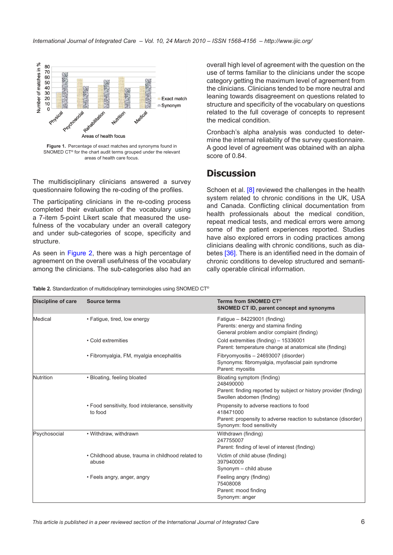<span id="page-5-0"></span>

**Figure 1.** Percentage of exact matches and synonyms found in SNOMED CT® for the chart audit terms grouped under the relevant areas of health care focus.

The multidisciplinary clinicians answered a survey questionnaire following the re-coding of the profiles.

The participating clinicians in the re-coding process completed their evaluation of the vocabulary using a 7-item 5-point Likert scale that measured the usefulness of the vocabulary under an overall category and under sub-categories of scope, specificity and structure.

As seen in [Figure](#page-6-0) 2, there was a high percentage of agreement on the overall usefulness of the vocabulary among the clinicians. The sub-categories also had an overall high level of agreement with the question on the use of terms familiar to the clinicians under the scope category getting the maximum level of agreement from the clinicians. Clinicians tended to be more neutral and leaning towards disagreement on questions related to structure and specificity of the vocabulary on questions related to the full coverage of concepts to represent the medical condition.

Cronbach's alpha analysis was conducted to determine the internal reliability of the survey questionnaire. A good level of agreement was obtained with an alpha score of 0.84.

## **Discussion**

Schoen et al. [\[8\]](#page-8-0) reviewed the challenges in the health system related to chronic conditions in the UK, USA and Canada. Conflicting clinical documentation from health professionals about the medical condition, repeat medical tests, and medical errors were among some of the patient experiences reported. Studies have also explored errors in coding practices among clinicians dealing with chronic conditions, such as diabetes [\[36](#page-9-0)]. There is an identified need in the domain of chronic conditions to develop structured and semantically operable clinical information.

| Table 2. Standardization of multidisciplinary terminologies using SNOMED CT® |  |  |  |
|------------------------------------------------------------------------------|--|--|--|
|------------------------------------------------------------------------------|--|--|--|

| <b>Discipline of care</b> | Source terms                                                 | Terms from SNOMED CT®<br>SNOMED CT ID, parent concept and synonyms                                                                                  |
|---------------------------|--------------------------------------------------------------|-----------------------------------------------------------------------------------------------------------------------------------------------------|
| Medical                   | • Fatigue, tired, low energy                                 | Fatigue - 84229001 (finding)<br>Parents: energy and stamina finding<br>General problem and/or complaint (finding)                                   |
|                           | • Cold extremities                                           | Cold extremities (finding) - 15336001<br>Parent: temperature change at anatomical site (finding)                                                    |
|                           | • Fibromyalgia, FM, myalgia encephalitis                     | Fibryomyositis - 24693007 (disorder)<br>Synonyms: fibromyalgia, myofascial pain syndrome<br>Parent: myositis                                        |
| Nutrition                 | • Bloating, feeling bloated                                  | Bloating symptom (finding)<br>248490000<br>Parent: finding reported by subject or history provider (finding)<br>Swollen abdomen (finding)           |
|                           | • Food sensitivity, food intolerance, sensitivity<br>to food | Propensity to adverse reactions to food<br>418471000<br>Parent: propensity to adverse reaction to substance (disorder)<br>Synonym: food sensitivity |
| Psychosocial              | • Withdraw, withdrawn                                        | Withdrawn (finding)<br>247755007<br>Parent: finding of level of interest (finding)                                                                  |
|                           | • Childhood abuse, trauma in childhood related to<br>abuse   | Victim of child abuse (finding)<br>397940009<br>Synonym - child abuse                                                                               |
|                           | • Feels angry, anger, angry                                  | Feeling angry (finding)<br>75408008<br>Parent: mood finding<br>Synonym: anger                                                                       |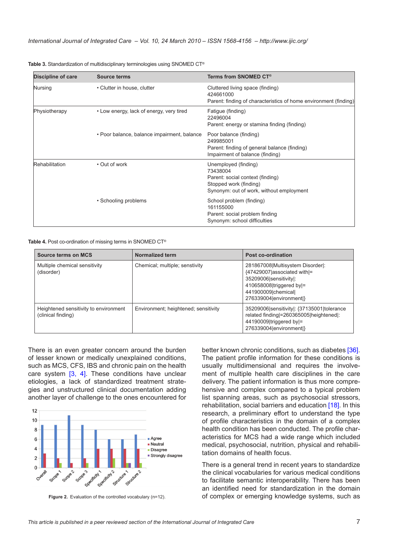| <b>Discipline of care</b> | <b>Source terms</b>                         | Terms from SNOMED CT®                                                                                                                      |
|---------------------------|---------------------------------------------|--------------------------------------------------------------------------------------------------------------------------------------------|
| Nursing                   | • Clutter in house, clutter                 | Cluttered living space (finding)<br>424661000<br>Parent: finding of characteristics of home environment (finding)                          |
| Physiotherapy             | • Low energy, lack of energy, very tired    | Fatigue (finding)<br>22496004<br>Parent: energy or stamina finding (finding)                                                               |
|                           | • Poor balance, balance impairment, balance | Poor balance (finding)<br>249985001<br>Parent: finding of general balance (finding)<br>Impairment of balance (finding)                     |
| Rehabilitation            | • Out of work                               | Unemployed (finding)<br>73438004<br>Parent: social context (finding)<br>Stopped work (finding)<br>Synonym: out of work, without employment |
|                           | • Schooling problems                        | School problem (finding)<br>161155000<br>Parent: social problem finding<br>Synonym: school difficulties                                    |

<span id="page-6-0"></span>**Table 3.** Standardization of multidisciplinary terminologies using SNOMED CT®

**Table 4.** Post co-ordination of missing terms in SNOMED CT®

| <b>Source terms on MCS</b>                                  | Normalized term                      | Post co-ordination                                                                                                                                                        |
|-------------------------------------------------------------|--------------------------------------|---------------------------------------------------------------------------------------------------------------------------------------------------------------------------|
| Multiple chemical sensitivity<br>(disorder)                 | Chemical; multiple; senstivity       | 281867008 Multisystem Disorder :<br>{47429007 associated with =<br>35209006 sensitivity :<br>410658008 triggered by =<br>441900009 chemical <br>276339004   environment } |
| Heightened sensitivity to environment<br>(clinical finding) | Environment; heightened; sensitivity | 35209006 sensitivity : {37135001   tolerance<br>related finding = 260365005 [heightened]:<br>44190009 triggered by =<br>276339004   environment }                         |

There is an even greater concern around the burden of lesser known or medically unexplained conditions, such as MCS, CFS, IBS and chronic pain on the health care system [[3](#page-8-0), [4](#page-8-0)]. These conditions have unclear etiologies, a lack of standardized treatment strategies and unstructured clinical documentation adding another layer of challenge to the ones encountered for



**Figure 2.** Evaluation of the controlled vocabulary (n=12).

better known chronic conditions, such as diabetes [[36](#page-9-0)]. The patient profile information for these conditions is usually multidimensional and requires the involvement of multiple health care disciplines in the care delivery. The patient information is thus more comprehensive and complex compared to a typical problem list spanning areas, such as psychosocial stressors, rehabilitation, social barriers and education [\[18](#page-8-0)]. In this research, a preliminary effort to understand the type of profile characteristics in the domain of a complex health condition has been conducted. The profile characteristics for MCS had a wide range which included medical, psychosocial, nutrition, physical and rehabilitation domains of health focus.

There is a general trend in recent years to standardize the clinical vocabularies for various medical conditions to facilitate semantic interoperability. There has been an identified need for standardization in the domain of complex or emerging knowledge systems, such as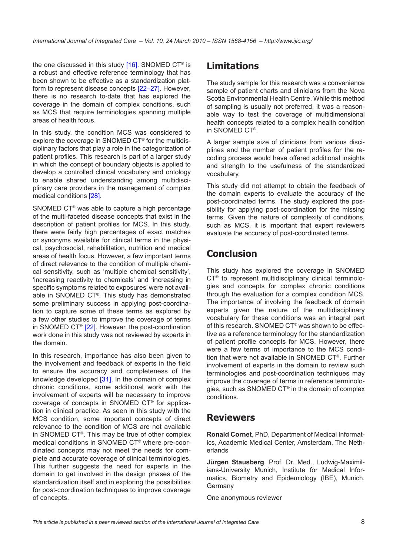the one discussed in this study  $[16]$  $[16]$ . SNOMED CT<sup>®</sup> is a robust and effective reference terminology that has been shown to be effective as a standardization platform to represent disease concepts [\[22](#page-8-0)–[27](#page-8-0)]. However, there is no research to-date that has explored the coverage in the domain of complex conditions, such as MCS that require terminologies spanning multiple areas of health focus.

In this study, the condition MCS was considered to explore the coverage in SNOMED CT® for the multidisciplinary factors that play a role in the categorization of patient profiles. This research is part of a larger study in which the concept of boundary objects is applied to develop a controlled clinical vocabulary and ontology to enable shared understanding among multidisciplinary care providers in the management of complex medical conditions [\[28\]](#page-9-0).

SNOMED CT® was able to capture a high percentage of the multi-faceted disease concepts that exist in the description of patient profiles for MCS. In this study, there were fairly high percentages of exact matches or synonyms available for clinical terms in the physical, psychosocial, rehabilitation, nutrition and medical areas of health focus. However, a few important terms of direct relevance to the condition of multiple chemical sensitivity, such as 'multiple chemical sensitivity', 'increasing reactivity to chemicals' and 'increasing in specific symptoms related to exposures' were not available in SNOMED CT®. This study has demonstrated some preliminary success in applying post-coordination to capture some of these terms as explored by a few other studies to improve the coverage of terms in SNOMED CT® [[22](#page-8-0)]. However, the post-coordination work done in this study was not reviewed by experts in the domain.

In this research, importance has also been given to the involvement and feedback of experts in the field to ensure the accuracy and completeness of the knowledge developed [\[31\]](#page-9-0). In the domain of complex chronic conditions, some additional work with the involvement of experts will be necessary to improve coverage of concepts in SNOMED CT® for application in clinical practice. As seen in this study with the MCS condition, some important concepts of direct relevance to the condition of MCS are not available in SNOMED CT®. This may be true of other complex medical conditions in SNOMED CT® where pre-coordinated concepts may not meet the needs for complete and accurate coverage of clinical terminologies. This further suggests the need for experts in the domain to get involved in the design phases of the standardization itself and in exploring the possibilities for post-coordination techniques to improve coverage of concepts.

# **Limitations**

The study sample for this research was a convenience sample of patient charts and clinicians from the Nova Scotia Environmental Health Centre. While this method of sampling is usually not preferred, it was a reasonable way to test the coverage of multidimensional health concepts related to a complex health condition in SNOMED CT®.

A larger sample size of clinicians from various disciplines and the number of patient profiles for the recoding process would have offered additional insights and strength to the usefulness of the standardized vocabulary.

This study did not attempt to obtain the feedback of the domain experts to evaluate the accuracy of the post-coordinated terms. The study explored the possibility for applying post-coordination for the missing terms. Given the nature of complexity of conditions, such as MCS, it is important that expert reviewers evaluate the accuracy of post-coordinated terms.

# **Conclusion**

This study has explored the coverage in SNOMED CT® to represent multidisciplinary clinical terminologies and concepts for complex chronic conditions through the evaluation for a complex condition MCS. The importance of involving the feedback of domain experts given the nature of the multidisciplinary vocabulary for these conditions was an integral part of this research. SNOMED CT® was shown to be effective as a reference terminology for the standardization of patient profile concepts for MCS. However, there were a few terms of importance to the MCS condition that were not available in SNOMED CT®. Further involvement of experts in the domain to review such terminologies and post-coordination techniques may improve the coverage of terms in reference terminologies, such as SNOMED CT® in the domain of complex conditions.

## **Reviewers**

**Ronald Cornet**, PhD, Department of Medical Informatics, Academic Medical Center, Amsterdam, The Netherlands

**Jürgen Stausberg**, Prof. Dr. Med., Ludwig-Maximilians-University Munich, Institute for Medical Informatics, Biometry and Epidemiology (IBE), Munich, **Germany** 

One anonymous reviewer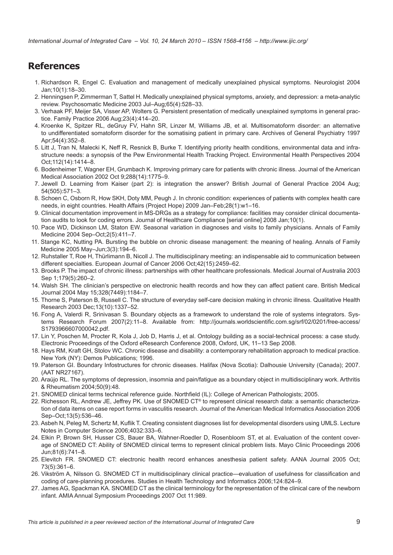# <span id="page-8-0"></span>**References**

- 1. Richardson R, Engel C. Evaluation and management of medically unexplained physical symptoms. Neurologist 2004 Jan;10(1):18–30.
- 2. Henningsen P, Zimmerman T, Sattel H. Medically unexplained physical symptoms, anxiety, and depression: a meta-analytic review. Psychosomatic Medicine 2003 Jul–Aug;65(4):528–33.
- 3. Verhaak PF, Meijer SA, Visser AP, Wolters G. Persistent presentation of medically unexplained symptoms in general practice. Family Practice 2006 Aug;23(4):414–20.
- 4. Kroenke K, Spitzer RL, deGruy FV, Hahn SR, Linzer M, Williams JB, et al. Multisomatoform disorder: an alternative to undifferentiated somatoform disorder for the somatising patient in primary care. Archives of General Psychiatry 1997 Apr;54(4):352–8.
- 5. Litt J, Tran N, Malecki K, Neff R, Resnick B, Burke T. Identifying priority health conditions, environmental data and infrastructure needs: a synopsis of the Pew Environmental Health Tracking Project. Environmental Health Perspectives 2004 Oct;112(14):1414–8.
- 6. Bodenheimer T, Wagner EH, Grumbach K. Improving primary care for patients with chronic illness. Journal of the American Medical Association 2002 Oct 9;288(14):1775–9.
- 7. Jewell D. Learning from Kaiser (part 2): is integration the answer? British Journal of General Practice 2004 Aug; 54(505):571–3.
- 8. Schoen C, Osborn R, How SKH, Doty MM, Peugh J. In chronic condition: experiences of patients with complex health care needs, in eight countries. Health Affairs (Project Hope) 2009 Jan–Feb;28(1):w1–16.
- 9. Clinical documentation improvement in MS-DRGs as a strategy for compliance: facilities may consider clinical documentation audits to look for coding errors. Journal of Healthcare Compliance [serial online] 2008 Jan;10(1).
- 10. Pace WD, Dickinson LM, Staton EW. Seasonal variation in diagnoses and visits to family physicians. Annals of Family Medicine 2004 Sep–Oct;2(5):411–7.
- 11. Stange KC, Nutting PA. Bursting the bubble on chronic disease management: the meaning of healing. Annals of Family Medicine 2005 May–Jun;3(3):194–6.
- 12. Ruhstaller T, Roe H, Thürlimann B, Nicoll J. The multidisciplinary meeting: an indispensable aid to communication between different specialties. European Journal of Cancer 2006 Oct;42(15):2459–62.
- 13. Brooks P. The impact of chronic illness: partnerships with other healthcare professionals. Medical Journal of Australia 2003 Sep 1;179(5):260–2.
- 14. Walsh SH. The clinician's perspective on electronic health records and how they can affect patient care. British Medical Journal 2004 May 15;328(7449):1184–7.
- 15. Thorne S, Paterson B, Russell C. The structure of everyday self-care decision making in chronic illness. Qualitative Health Research 2003 Dec;13(10):1337–52.
- 16. Fong A, Valerdi R, Srinivasan S. Boundary objects as a framework to understand the role of systems integrators. Systems Research Forum 2007(2):11–8. Available from: [http://journals.worldscientific.com.sg/srf/02/0201/free-access/](http://journals.worldscientific.com.sg/srf/02/0201/free-access/S1793966607000042.pdf) [S1793966607000042.pdf.](http://journals.worldscientific.com.sg/srf/02/0201/free-access/S1793966607000042.pdf)
- 17. Lin Y, Poschen M, Procter R, Kola J, Job D, Harris J, et al. Ontology building as a social-technical process: a case study. Electronic Proceedings of the Oxford eResearch Conference 2008, Oxford, UK, 11–13 Sep 2008.
- 18. Hays RM, Kraft GH, Stolov WC. Chronic disease and disability: a contemporary rehabilitation approach to medical practice. New York (NY): Demos Publications; 1996.
- 19. Paterson GI. Boundary Infostructures for chronic diseases. Halifax (Nova Scotia): Dalhousie University (Canada); 2007. (AAT NR27167).
- 20. Araújo RL. The symptoms of depression, insomnia and pain/fatigue as a boundary object in multidisciplinary work. Arthritis & Rheumatism 2004;50(9):48.
- 21. SNOMED clinical terms technical reference guide. Northfield (IL): College of American Pathologists; 2005.
- 22. Richesson RL, Andrew JE, Jeffrey PK. Use of SNOMED CT® to represent clinical research data: a semantic characterization of data items on case report forms in vasculitis research. Journal of the American Medical Informatics Association 2006 Sep–Oct;13(5):536–46.
- 23. Asbeh N, Peleg M, Schertz M, Kuflik T. Creating consistent diagnoses list for developmental disorders using UMLS. Lecture Notes in Computer Science 2006;4032:333–6.
- 24. Elkin P, Brown SH, Husser CS, Bauer BA, Wahner-Roedler D, Rosenbloom ST, et al. Evaluation of the content coverage of SNOMED CT: Ability of SNOMED clinical terms to represent clinical problem lists. Mayo Clinic Proceedings 2006 Jun;81(6):741–8.
- 25. Elevitch FR. SNOMED CT: electronic health record enhances anesthesia patient safety. AANA Journal 2005 Oct; 73(5):361–6.
- 26. Vikström A, Nilsson G. SNOMED CT in multidisciplinary clinical practice—evaluation of usefulness for classification and coding of care-planning procedures. Studies in Health Technology and Informatics 2006;124:824–9.
- 27. James AG, Spackman KA. SNOMED CT as the clinical terminology for the representation of the clinical care of the newborn infant. AMIA Annual Symposium Proceedings 2007 Oct 11:989.